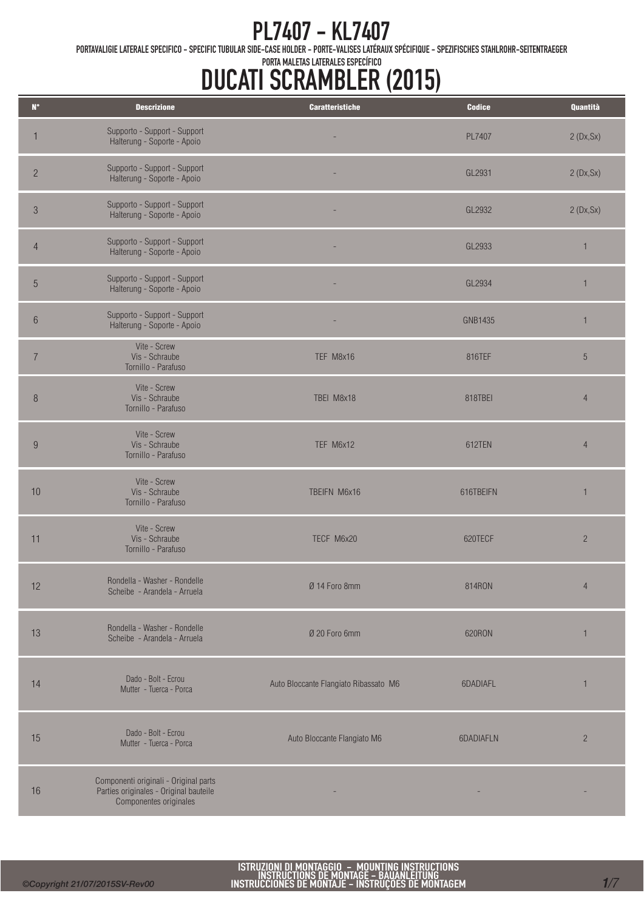PORTAVALIGIE LATERALE SPECIFICO - SPECIFIC TUBULAR SIDE-CASE HOLDER - PORTE-VALISES LATÉRAUX SPÉCIFIQUE - SPEZIFISCHES STAHLROHR-SEITENTRAEGER

| $\mathsf{N}^\circ$ | <b>Descrizione</b>                                                                                        | <b>Caratteristiche</b>                | <b>Codice</b>  | Quantità       |
|--------------------|-----------------------------------------------------------------------------------------------------------|---------------------------------------|----------------|----------------|
| 1                  | Supporto - Support - Support<br>Halterung - Soporte - Apoio                                               |                                       | PL7407         | 2(Dx, Sx)      |
| $\overline{c}$     | Supporto - Support - Support<br>Halterung - Soporte - Apoio                                               |                                       | GL2931         | 2(Dx, Sx)      |
| $\sqrt{3}$         | Supporto - Support - Support<br>Halterung - Soporte - Apoio                                               |                                       | GL2932         | 2(Dx, Sx)      |
| $\overline{4}$     | Supporto - Support - Support<br>Halterung - Soporte - Apoio                                               |                                       | GL2933         | $\mathbf{1}$   |
| $\sqrt{5}$         | Supporto - Support - Support<br>Halterung - Soporte - Apoio                                               |                                       | GL2934         | 1              |
| $\,6\,$            | Supporto - Support - Support<br>Halterung - Soporte - Apoio                                               |                                       | <b>GNB1435</b> | 1              |
| $\overline{7}$     | Vite - Screw<br>Vis - Schraube<br>Tornillo - Parafuso                                                     | TEF M8x16                             | 816TEF         | $\sqrt{5}$     |
| $\delta$           | Vite - Screw<br>Vis - Schraube<br>Tornillo - Parafuso                                                     | TBEI M8x18                            | 818TBEI        | $\overline{4}$ |
| $9\,$              | Vite - Screw<br>Vis - Schraube<br>Tornillo - Parafuso                                                     | TEF M6x12                             | 612TEN         | $\overline{4}$ |
| 10                 | Vite - Screw<br>Vis - Schraube<br>Tornillo - Parafuso                                                     | TBEIFN M6x16                          | 616TBEIFN      | 1              |
| 11                 | Vite - Screw<br>Vis - Schraube<br>Tornillo - Parafuso                                                     | TECF M6x20                            | 620TECF        | $\overline{c}$ |
| 12                 | Rondella - Washer - Rondelle<br>Scheibe - Arandela - Arruela                                              | Ø 14 Foro 8mm                         | 814RON         | $\overline{4}$ |
| 13                 | Rondella - Washer - Rondelle<br>Scheibe - Arandela - Arruela                                              | Ø 20 Foro 6mm                         | 620RON         | $\mathbf{1}$   |
| 14                 | Dado - Bolt - Ecrou<br>Mutter - Tuerca - Porca                                                            | Auto Bloccante Flangiato Ribassato M6 | 6DADIAFL       | $\mathbf{1}$   |
| 15                 | Dado - Bolt - Ecrou<br>Mutter - Tuerca - Porca                                                            | Auto Bloccante Flangiato M6           | 6DADIAFLN      | $\overline{2}$ |
| 16                 | Componenti originali - Original parts<br>Parties originales - Original bauteile<br>Componentes originales |                                       |                |                |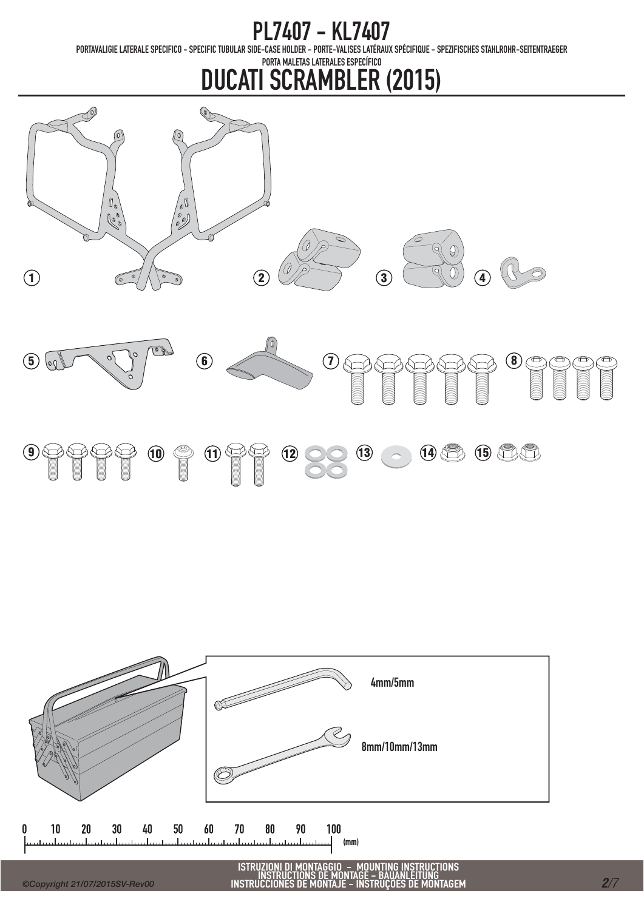PORTAVALIGIE LATERALE SPECIFICO - SPECIFIC TUBULAR SIDE-CASE HOLDER - PORTE-VALISES LATÉRAUX SPÉCIFIQUE - SPEZIFISCHES STAHLROHR-SEITENTRAEGER





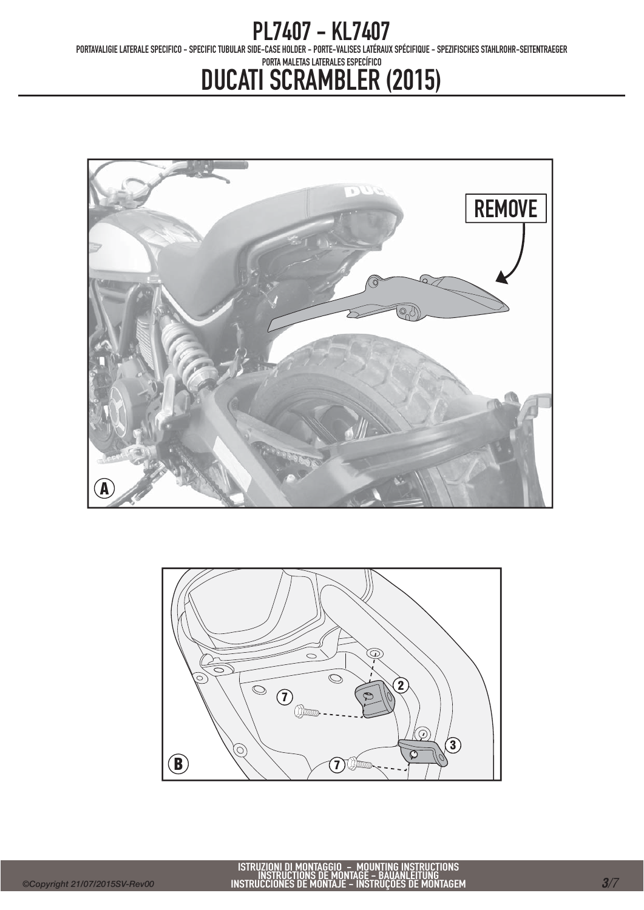PORTAVALIGIE LATERALE SPECIFICO - SPECIFIC TUBULAR SIDE-CASE HOLDER - PORTE-VALISES LATÉRAUX SPÉCIFIQUE - SPEZIFISCHES STAHLROHR-SEITENTRAEGER



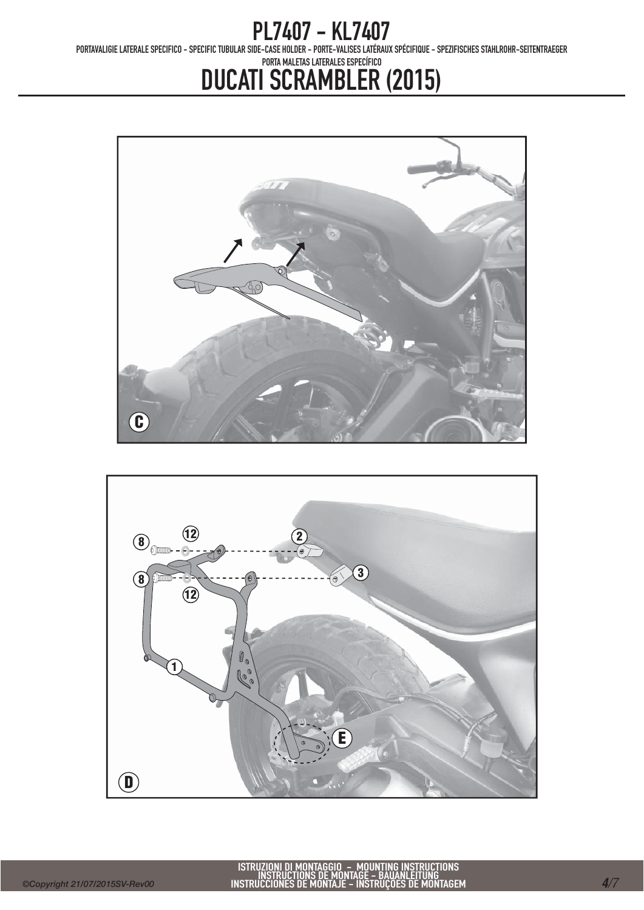PORTAVALIGIE LATERALE SPECIFICO - SPECIFIC TUBULAR SIDE-CASE HOLDER - PORTE-VALISES LATÉRAUX SPÉCIFIQUE - SPEZIFISCHES STAHLROHR-SEITENTRAEGER



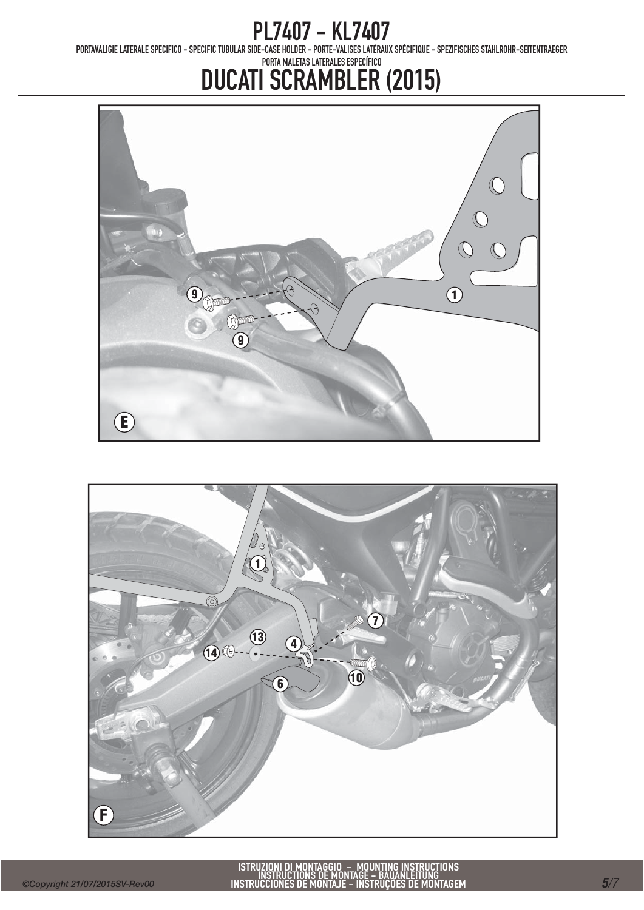PORTAVALIGIE LATERALE SPECIFICO - SPECIFIC TUBULAR SIDE-CASE HOLDER - PORTE-VALISES LATÉRAUX SPÉCIFIQUE - SPEZIFISCHES STAHLROHR-SEITENTRAEGER



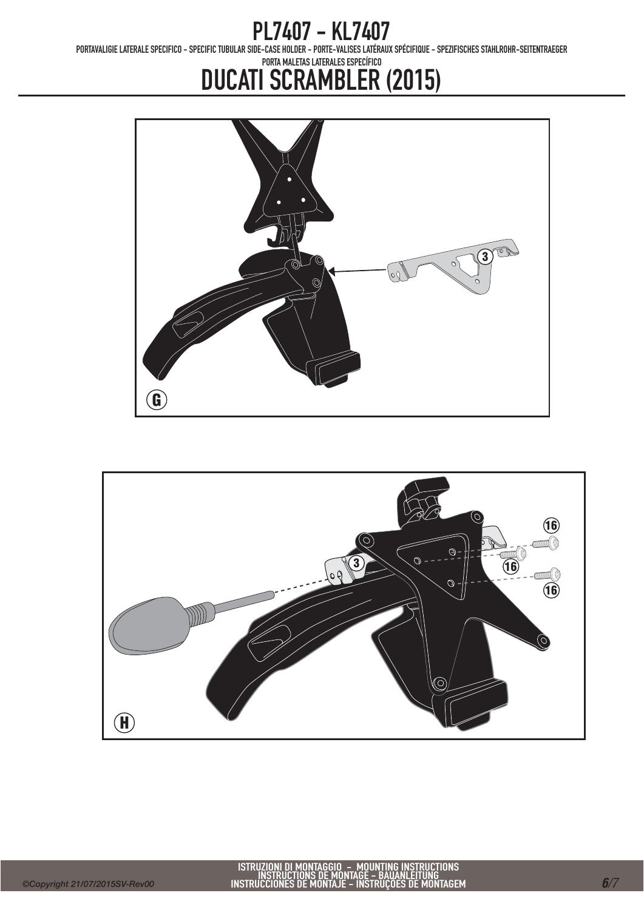PORTAVALIGIE LATERALE SPECIFICO - SPECIFIC TUBULAR SIDE-CASE HOLDER - PORTE-VALISES LATÉRAUX SPÉCIFIQUE - SPEZIFISCHES STAHLROHR-SEITENTRAEGER